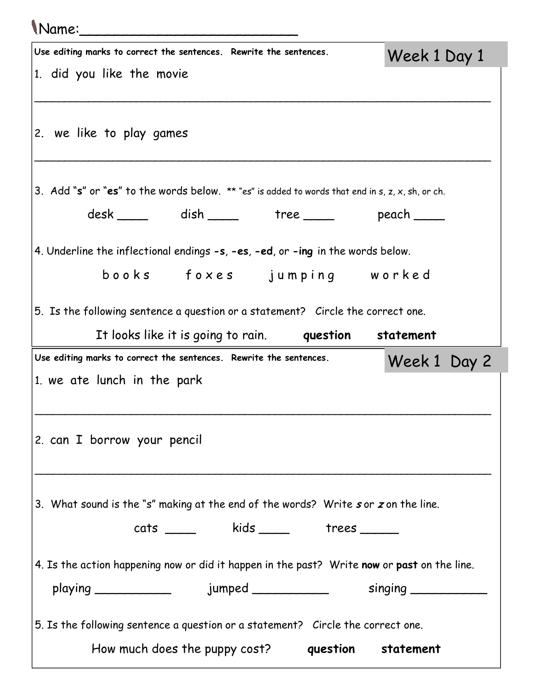| <i>Name:</i>                                                                                                                        |              |
|-------------------------------------------------------------------------------------------------------------------------------------|--------------|
| Use editing marks to correct the sentences. Rewrite the sentences.                                                                  | Week 1 Day 1 |
| 1. did you like the movie                                                                                                           |              |
| 2. we like to play games                                                                                                            |              |
| 3. Add "s" or "es" to the words below. ** "es" is added to words that end in s, z, x, sh, or ch.                                    |              |
| desk _____ dish _____ tree _____ peach ____                                                                                         |              |
| 4. Underline the inflectional endings -s, -es, -ed, or -ing in the words below.                                                     |              |
| books foxes jumping worked                                                                                                          |              |
| 5. Is the following sentence a question or a statement? Circle the correct one.                                                     |              |
| It looks like it is going to rain. <b>question</b> statement                                                                        |              |
| Use editing marks to correct the sentences. Rewrite the sentences.                                                                  | Week 1 Day 2 |
| 1. we ate lunch in the park                                                                                                         |              |
| 2. can I borrow your pencil                                                                                                         |              |
|                                                                                                                                     |              |
| 3. What sound is the "s" making at the end of the words? Write sor zon the line.                                                    |              |
| cats _____ kids ____ trees ____                                                                                                     |              |
| 4. Is the action happening now or did it happen in the past? Write now or past on the line.                                         |              |
|                                                                                                                                     |              |
| 5. Is the following sentence a question or a statement? Circle the correct one.<br>How much does the puppy cost? question statement |              |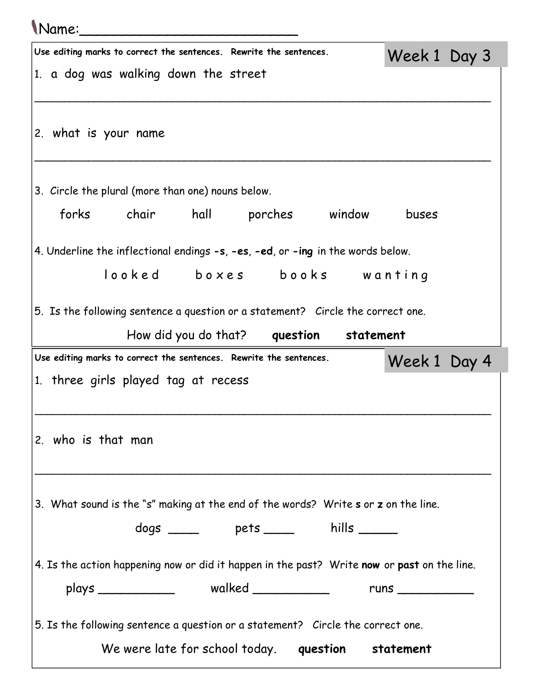| <i>Name:</i>                                                                                |              |  |
|---------------------------------------------------------------------------------------------|--------------|--|
| Use editing marks to correct the sentences. Rewrite the sentences.                          | Week 1 Day 3 |  |
| 1. a dog was walking down the street                                                        |              |  |
| 2. what is your name                                                                        |              |  |
| 3. Circle the plural (more than one) nouns below.                                           |              |  |
| forks chair hall porches window                                                             | buses        |  |
| 4. Underline the inflectional endings -s, -es, -ed, or -ing in the words below.             |              |  |
| looked boxes books wanting                                                                  |              |  |
| 5. Is the following sentence a question or a statement? Circle the correct one.             |              |  |
| How did you do that? question statement                                                     |              |  |
| Use editing marks to correct the sentences. Rewrite the sentences.                          | Week 1 Day 4 |  |
| 1. three girls played tag at recess                                                         |              |  |
|                                                                                             |              |  |
| 2. who is that man                                                                          |              |  |
|                                                                                             |              |  |
| 3. What sound is the "s" making at the end of the words? Write s or z on the line.          |              |  |
| dogs _____ pets ____ hills _____                                                            |              |  |
| 4. Is the action happening now or did it happen in the past? Write now or past on the line. |              |  |
|                                                                                             |              |  |
| 5. Is the following sentence a question or a statement? Circle the correct one.             |              |  |
| We were late for school today. question statement                                           |              |  |